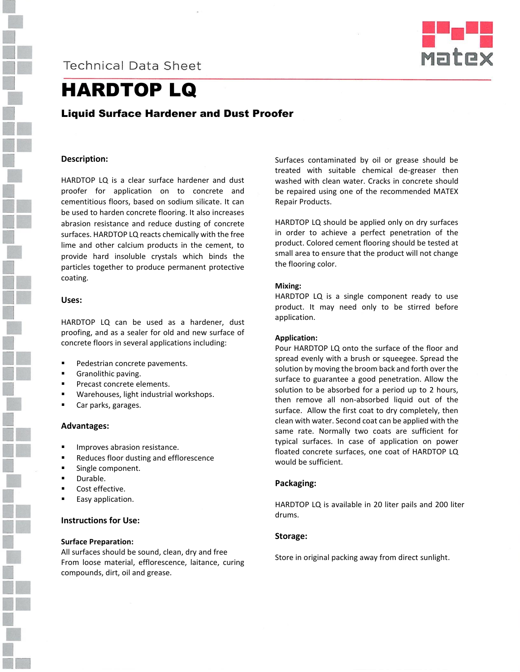

# **Technical Data Sheet**



# HARDTOP LQ

# Liquid Surface Hardener and Dust Proofer

#### **Description:**

HARDTOP LQ is a clear surface hardener and dust proofer for application on to concrete and cementitious floors, based on sodium silicate. It can be used to harden concrete flooring. It also increases abrasion resistance and reduce dusting of concrete surfaces. HARDTOP LQ reacts chemically with the free lime and other calcium products in the cement, to provide hard insoluble crystals which binds the particles together to produce permanent protective coating.

#### **Uses:**

HARDTOP LQ can be used as a hardener, dust proofing, and as a sealer for old and new surface of concrete floors in several applications including:

- Pedestrian concrete pavements.
- **Granolithic paving.**
- **Precast concrete elements.**
- Warehouses, light industrial workshops.
- Car parks, garages.

#### **Advantages:**

- Improves abrasion resistance.
- Reduces floor dusting and efflorescence
- **Single component.**
- Durable.
- Cost effective.
- Easy application.

## **Instructions for Use:**

#### **Surface Preparation:**

All surfaces should be sound, clean, dry and free From loose material, efflorescence, laitance, curing compounds, dirt, oil and grease.

Surfaces contaminated by oil or grease should be treated with suitable chemical de-greaser then washed with clean water. Cracks in concrete should be repaired using one of the recommended MATEX Repair Products.

HARDTOP LQ should be applied only on dry surfaces in order to achieve a perfect penetration of the product. Colored cement flooring should be tested at small area to ensure that the product will not change the flooring color.

#### **Mixing:**

HARDTOP LQ is a single component ready to use product. It may need only to be stirred before application.

#### **Application:**

Pour HARDTOP LQ onto the surface of the floor and spread evenly with a brush or squeegee. Spread the solution by moving the broom back and forth over the surface to guarantee a good penetration. Allow the solution to be absorbed for a period up to 2 hours, then remove all non-absorbed liquid out of the surface. Allow the first coat to dry completely, then clean with water. Second coat can be applied with the same rate. Normally two coats are sufficient for typical surfaces. In case of application on power floated concrete surfaces, one coat of HARDTOP LQ would be sufficient.

#### **Packaging:**

HARDTOP LQ is available in 20 liter pails and 200 liter drums.

# **Storage:**

Store in original packing away from direct sunlight.